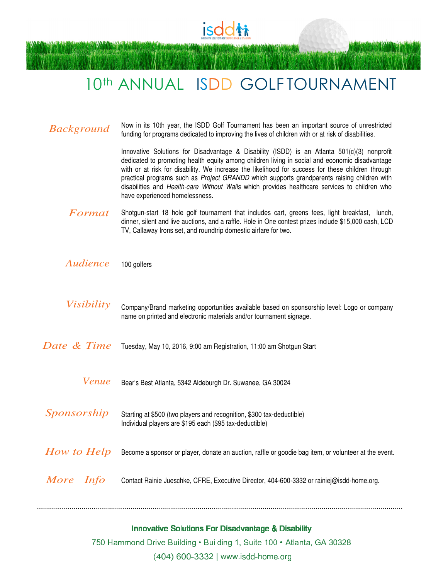

# 10th ANNUAL ISDD GOLF TOURNAMENT

| <b>Background</b> | Now in its 10th year, the ISDD Golf Tournament has been an important source of unrestricted<br>funding for programs dedicated to improving the lives of children with or at risk of disabilities.                                                                                                                                                                                                                                                                                                                                    |
|-------------------|--------------------------------------------------------------------------------------------------------------------------------------------------------------------------------------------------------------------------------------------------------------------------------------------------------------------------------------------------------------------------------------------------------------------------------------------------------------------------------------------------------------------------------------|
|                   | Innovative Solutions for Disadvantage & Disability (ISDD) is an Atlanta 501(c)(3) nonprofit<br>dedicated to promoting health equity among children living in social and economic disadvantage<br>with or at risk for disability. We increase the likelihood for success for these children through<br>practical programs such as Project GRANDD which supports grandparents raising children with<br>disabilities and Health-care Without Walls which provides healthcare services to children who<br>have experienced homelessness. |
| Format            | Shotgun-start 18 hole golf tournament that includes cart, greens fees, light breakfast, lunch,<br>dinner, silent and live auctions, and a raffle. Hole in One contest prizes include \$15,000 cash, LCD<br>TV, Callaway Irons set, and roundtrip domestic airfare for two.                                                                                                                                                                                                                                                           |
| Audience          | 100 golfers                                                                                                                                                                                                                                                                                                                                                                                                                                                                                                                          |
| <i>Visibility</i> | Company/Brand marketing opportunities available based on sponsorship level: Logo or company<br>name on printed and electronic materials and/or tournament signage.                                                                                                                                                                                                                                                                                                                                                                   |
| Date & Time       | Tuesday, May 10, 2016, 9:00 am Registration, 11:00 am Shotgun Start                                                                                                                                                                                                                                                                                                                                                                                                                                                                  |
| Venue             | Bear's Best Atlanta, 5342 Aldeburgh Dr. Suwanee, GA 30024                                                                                                                                                                                                                                                                                                                                                                                                                                                                            |
| Sponsorship       | Starting at \$500 (two players and recognition, \$300 tax-deductible)<br>Individual players are \$195 each (\$95 tax-deductible)                                                                                                                                                                                                                                                                                                                                                                                                     |
| How to Help       | Become a sponsor or player, donate an auction, raffle or goodie bag item, or volunteer at the event.                                                                                                                                                                                                                                                                                                                                                                                                                                 |
| More Info         | Contact Rainie Jueschke, CFRE, Executive Director, 404-600-3332 or rainiej@isdd-home.org.                                                                                                                                                                                                                                                                                                                                                                                                                                            |
|                   |                                                                                                                                                                                                                                                                                                                                                                                                                                                                                                                                      |

## Innovative Solutions For Disadvantage & Disability

750 Hammond Drive Building • Building 1, Suite 100 • Atlanta, GA 30328

(404) 600-3332 | www.isdd-home.org